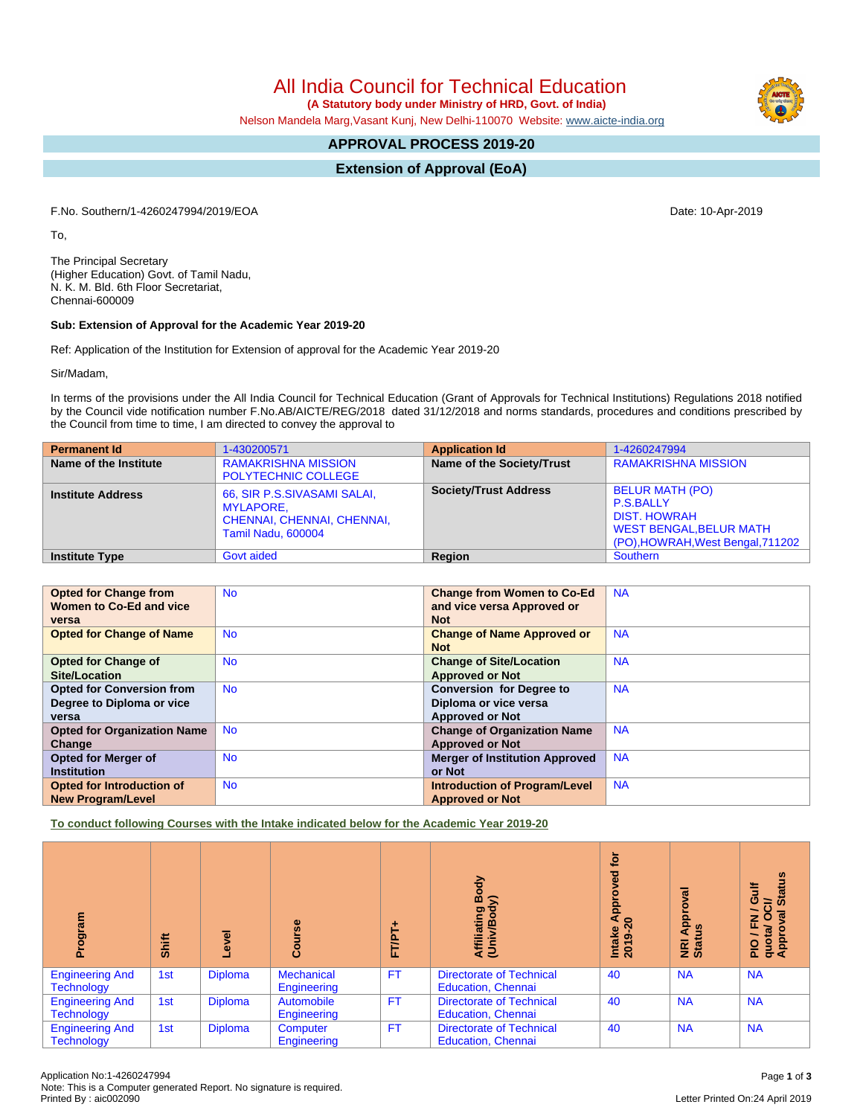All India Council for Technical Education

 **(A Statutory body under Ministry of HRD, Govt. of India)**

Nelson Mandela Marg,Vasant Kunj, New Delhi-110070 Website: [www.aicte-india.org](http://www.aicte-india.org)

# **APPROVAL PROCESS 2019-20**

**Extension of Approval (EoA)**

F.No. Southern/1-4260247994/2019/EOA Date: 10-Apr-2019

To,

The Principal Secretary (Higher Education) Govt. of Tamil Nadu, N. K. M. Bld. 6th Floor Secretariat, Chennai-600009

### **Sub: Extension of Approval for the Academic Year 2019-20**

Ref: Application of the Institution for Extension of approval for the Academic Year 2019-20

Sir/Madam,

In terms of the provisions under the All India Council for Technical Education (Grant of Approvals for Technical Institutions) Regulations 2018 notified by the Council vide notification number F.No.AB/AICTE/REG/2018 dated 31/12/2018 and norms standards, procedures and conditions prescribed by the Council from time to time, I am directed to convey the approval to

| <b>Permanent Id</b>      | 1-430200571                                                                                         | <b>Application Id</b>        | 1-4260247994                                                                                                                             |
|--------------------------|-----------------------------------------------------------------------------------------------------|------------------------------|------------------------------------------------------------------------------------------------------------------------------------------|
| Name of the Institute    | <b>RAMAKRISHNA MISSION</b><br><b>POLYTECHNIC COLLEGE</b>                                            | Name of the Society/Trust    | <b>RAMAKRISHNA MISSION</b>                                                                                                               |
| <b>Institute Address</b> | 66, SIR P.S.SIVASAMI SALAI,<br><b>MYLAPORE.</b><br>CHENNAI, CHENNAI, CHENNAI,<br>Tamil Nadu, 600004 | <b>Society/Trust Address</b> | <b>BELUR MATH (PO)</b><br><b>P.S.BALLY</b><br><b>DIST, HOWRAH</b><br><b>WEST BENGAL, BELUR MATH</b><br>(PO), HOWRAH, West Bengal, 711202 |
| <b>Institute Type</b>    | Govt aided                                                                                          | Region                       | <b>Southern</b>                                                                                                                          |

| <b>Opted for Change from</b>       | <b>No</b> | <b>Change from Women to Co-Ed</b>     | <b>NA</b> |
|------------------------------------|-----------|---------------------------------------|-----------|
| Women to Co-Ed and vice            |           | and vice versa Approved or            |           |
| versa                              |           | <b>Not</b>                            |           |
|                                    |           |                                       |           |
| <b>Opted for Change of Name</b>    | <b>No</b> | <b>Change of Name Approved or</b>     | <b>NA</b> |
|                                    |           | <b>Not</b>                            |           |
| <b>Opted for Change of</b>         | <b>No</b> | <b>Change of Site/Location</b>        | <b>NA</b> |
| Site/Location                      |           |                                       |           |
|                                    |           | <b>Approved or Not</b>                |           |
| <b>Opted for Conversion from</b>   | <b>No</b> | <b>Conversion for Degree to</b>       | <b>NA</b> |
| Degree to Diploma or vice          |           | Diploma or vice versa                 |           |
| versa                              |           | <b>Approved or Not</b>                |           |
| <b>Opted for Organization Name</b> | <b>No</b> | <b>Change of Organization Name</b>    | <b>NA</b> |
| Change                             |           | <b>Approved or Not</b>                |           |
| <b>Opted for Merger of</b>         | <b>No</b> | <b>Merger of Institution Approved</b> | <b>NA</b> |
| <b>Institution</b>                 |           | or Not                                |           |
| Opted for Introduction of          | <b>No</b> | <b>Introduction of Program/Level</b>  | <b>NA</b> |
| <b>New Program/Level</b>           |           | <b>Approved or Not</b>                |           |
|                                    |           |                                       |           |

**To conduct following Courses with the Intake indicated below for the Academic Year 2019-20**

| me.l6o.                                     | Shift | Level          | rse<br>Gour                      | FT/PT+    | Body<br>⋦<br>Affiliating<br>(Univ/Body                       | <b>jo</b><br>ਠ<br>Φ<br>٥<br>윤<br>$\blacktriangleleft$<br>$\circ$<br>2019-21<br>Intake | ζā<br>ppro'<br>9<br>$\blacktriangleleft$<br>NRI<br>Stat | <b>Status</b><br>ŧ<br>ဖ<br>ੌਹ<br>∽<br>J / FN<br>quota/ O<br>Approval |
|---------------------------------------------|-------|----------------|----------------------------------|-----------|--------------------------------------------------------------|---------------------------------------------------------------------------------------|---------------------------------------------------------|----------------------------------------------------------------------|
| <b>Engineering And</b><br><b>Technology</b> | 1st   | <b>Diploma</b> | <b>Mechanical</b><br>Engineering | <b>FT</b> | <b>Directorate of Technical</b><br><b>Education, Chennai</b> | 40                                                                                    | <b>NA</b>                                               | <b>NA</b>                                                            |
| <b>Engineering And</b><br><b>Technology</b> | 1st   | <b>Diploma</b> | Automobile<br>Engineering        | <b>FT</b> | <b>Directorate of Technical</b><br><b>Education, Chennai</b> | 40                                                                                    | <b>NA</b>                                               | <b>NA</b>                                                            |
| <b>Engineering And</b><br><b>Technology</b> | 1st   | <b>Diploma</b> | Computer<br>Engineering          | FT.       | <b>Directorate of Technical</b><br><b>Education, Chennai</b> | 40                                                                                    | <b>NA</b>                                               | <b>NA</b>                                                            |

Letter Printed On:24 April 2019

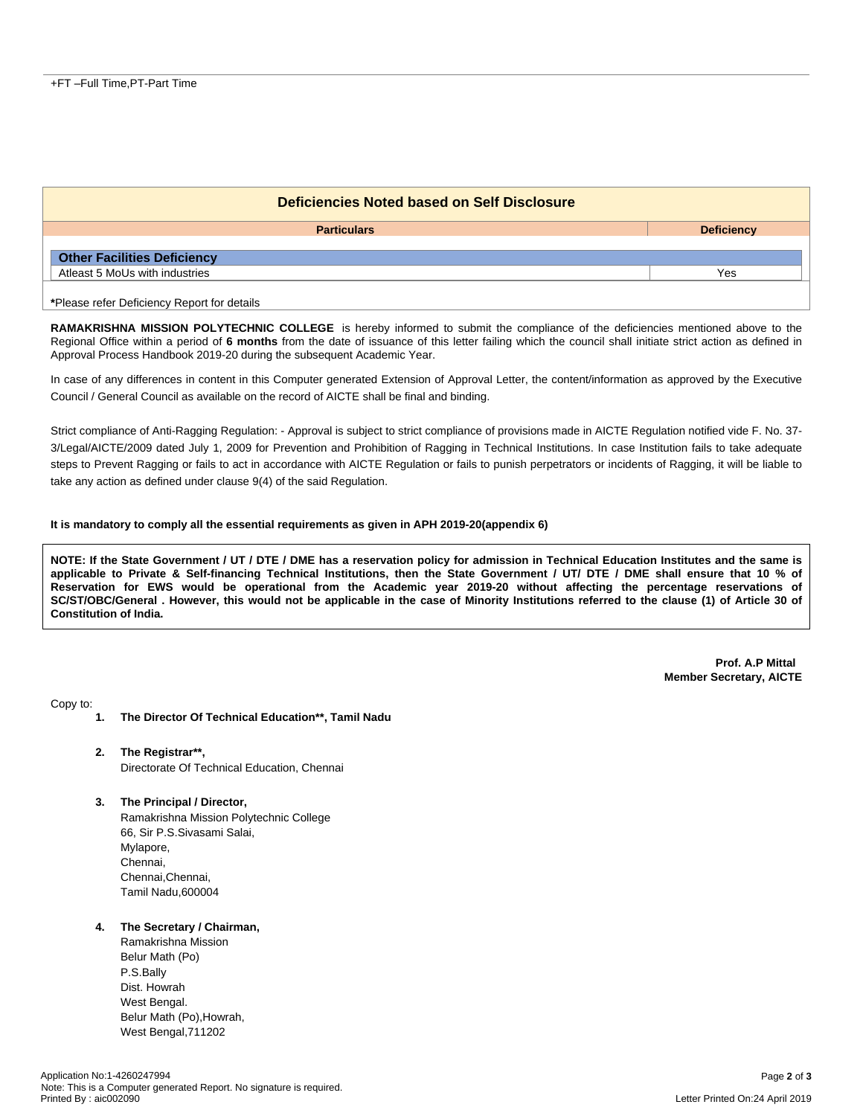| Deficiencies Noted based on Self Disclosure |                   |  |  |  |
|---------------------------------------------|-------------------|--|--|--|
| <b>Particulars</b>                          | <b>Deficiency</b> |  |  |  |
| <b>Other Facilities Deficiency</b>          |                   |  |  |  |
| Atleast 5 MoUs with industries              | Yes               |  |  |  |
| *Please refer Deficiency Report for details |                   |  |  |  |

**RAMAKRISHNA MISSION POLYTECHNIC COLLEGE** is hereby informed to submit the compliance of the deficiencies mentioned above to the Regional Office within a period of **6 months** from the date of issuance of this letter failing which the council shall initiate strict action as defined in Approval Process Handbook 2019-20 during the subsequent Academic Year.

In case of any differences in content in this Computer generated Extension of Approval Letter, the content/information as approved by the Executive Council / General Council as available on the record of AICTE shall be final and binding.

Strict compliance of Anti-Ragging Regulation: - Approval is subject to strict compliance of provisions made in AICTE Regulation notified vide F. No. 37- 3/Legal/AICTE/2009 dated July 1, 2009 for Prevention and Prohibition of Ragging in Technical Institutions. In case Institution fails to take adequate steps to Prevent Ragging or fails to act in accordance with AICTE Regulation or fails to punish perpetrators or incidents of Ragging, it will be liable to take any action as defined under clause 9(4) of the said Regulation.

#### **It is mandatory to comply all the essential requirements as given in APH 2019-20(appendix 6)**

NOTE: If the State Government / UT / DTE / DME has a reservation policy for admission in Technical Education Institutes and the same is applicable to Private & Self-financing Technical Institutions, then the State Government / UT/ DTE / DME shall ensure that 10 % of Reservation for EWS would be operational from the Academic year 2019-20 without affecting the percentage reservations of SC/ST/OBC/General . However, this would not be applicable in the case of Minority Institutions referred to the clause (1) of Article 30 of **Constitution of India.**

> **Prof. A.P Mittal Member Secretary, AICTE**

Copy to:

- **1. The Director Of Technical Education\*\*, Tamil Nadu**
- **2. The Registrar\*\*,** Directorate Of Technical Education, Chennai
- **3. The Principal / Director,**

Ramakrishna Mission Polytechnic College 66, Sir P.S.Sivasami Salai, Mylapore, Chennai, Chennai,Chennai, Tamil Nadu,600004

#### **4. The Secretary / Chairman,**

Ramakrishna Mission Belur Math (Po) P.S.Bally Dist. Howrah West Bengal. Belur Math (Po),Howrah, West Bengal,711202